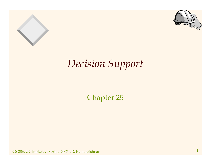



### *Decision Support*

Chapter 25

 $\text{CS}$  286, UC Berkeley, Spring 2007), R. Ramakrishnan 1  $1$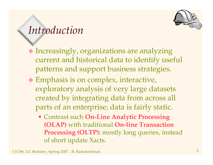

#### *Introduction*

- Increasingly, organizations are analyzing current and historical data to identify useful patterns and suppor<sup>t</sup> business strategies.
- Emphasis is on complex, interactive, exploratory analysis of very large datasets created by integrating data from across all parts of an enterprise; data is fairly static.
	- Contrast such **On-Line Analytic Processing (OLAP)** with traditional **On-line Transaction Processing (OLTP):** mostly long queries, instead of short update Xacts.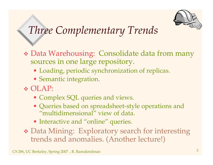

## *Three Complementary Trends*

- Data Warehousing: Consolidate data from many sources in one large repository.
	- Loading, periodic synchronization of replicas.
	- Semantic integration.
- OLAP:
	- Complex SQL queries and views.
	- Queries based on spreadsheet-style operations and "multidimensional" view of data.
	- Interactive and "online" queries.
- Data Mining: Exploratory search for interesting trends and anomalies. (Another lecture!)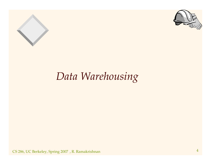



## *Data Warehousing*

CS 286, UC Berkeley, Spring <sup>2007</sup> , R. Ramakrishnan <sup>4</sup>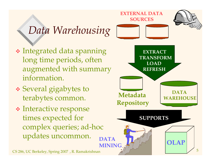

CS 286, UC Berkeley, Spring 2007 , R. Ramakrishnan  $\mathcal{A}\left( \mathcal{A}\right)$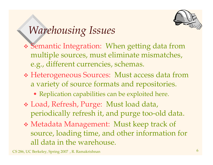

## *Warehousing Issues*

- Semantic Integration: When getting data from multiple sources, must eliminate mismatches, e.g., different currencies, schemas.
- Heterogeneous Sources: Must access data from a variety of source formats and repositories.
	- Replication capabilities can be exploited here.
- Load, Refresh, Purge: Must load data, periodically refresh it, and purge too-old data.
- Metadata Management: Must keep track of source, loading time, and other information for all data in the warehouse.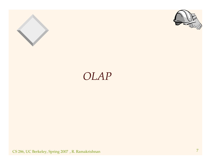



### *OLAP*

CS 286, UC Berkeley, Spring <sup>2007</sup> , R. Ramakrishnan <sup>7</sup>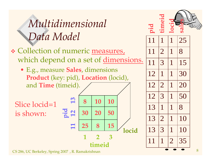

- \* Collection of numeric measures, which depend on a set of <u>dimensions.</u>
	- E.g., measure Sales, dimensions **Product** (key: pid), Location (locid), and **Time** (timeid).

Slice locid=1 is s hown:







CS 286, UC Berkeley, Spring 2007), R. Ramakrishnan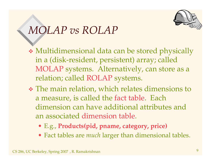

### *MOLAP vs ROLAP*

- Multidimensional data can be stored physically in <sup>a</sup> (disk-resident, persistent) array; called MOLAP systems. Alternatively, can store as <sup>a</sup> relation; called ROLAP systems.
- The main relation, which relates dimensions to a measure, is called the fact table. Each dimension can have additional attributes andan associated dimension table.
	- E.g., **Products(pid, pname, category, price)**
	- Fact tables are *much* larger than dimensional tables.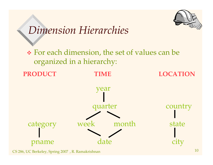

### *Dimension Hierarchies*

 For each dimension, the set of values can be organized in <sup>a</sup> hierarchy:

**PRODUCT**

**TIME LOCATION**

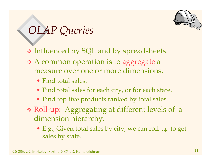

## *OLAP Queries*

- Influenced by SQL and by spreadsheets.
- \* A common operation is to aggregate a measure over one or more dimensions.
	- Find total sales.
	- Find total sales for each city, or for each state.
	- Find top five products ranked by total sales.
- \* Roll-up: Aggregating at different levels of a dimension hierarchy.
	- E.g., Given total sales by city, we can roll-up to ge<sup>t</sup> sales by state.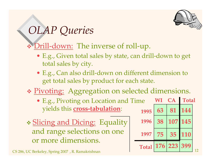

### *OLAP Queries*

#### \* Drill-down: The inverse of roll-up.

- E.g., Given total sales by state, can drill-down to ge<sup>t</sup> total sales by city.
- E.g., Can also drill-down on different dimension to ge<sup>t</sup> total sales by product for each state.

#### \* Pivoting: Aggregation on selected dimensions.

- E.g., Pivoting on Location and Time yields this **cross-tabulation**: **<sup>63</sup> <sup>81</sup> <sup>144</sup>**
- \* Slicing and Dicing: Equality and range selections on one or more dimensions.

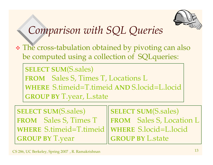

## *Comparison with SQL Queries*

 The cross-tabulation obtained by pivoting can also be computed using <sup>a</sup> collection of SQLqueries:

**SELECT SUM**(S.sales) **FROM** Sales S, Times T, Locations L **WHERE** S.timeid=T.timeid **AND** S.locid=L.locid **GROUP BY** T.year, L.state

**SELECT SUM**(S.sales) **FROM** Sales S, Times T **WHERE** S.timeid=T.timeid **GROUP BY** T.year

**SELECT SUM**(S.sales) **FROM** Sales S, Location L **WHERE** S.locid=L.locid **GROUP BY** L.state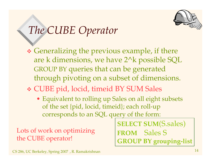

### *The CUBE Operator*

- Generalizing the previous example, if there are k dimensions, we have 2^k possible SQL GROUP BY queries that can be generated through pivoting on <sup>a</sup> subset of dimensions.
- CUBE pid, locid, timeid BY SUM Sales
	- Equivalent to rolling up Sales on all eight subsets of the set {pid, locid, timeid}; each roll-up corresponds to an SQL query of the form:

Lots of work on optimizing the CUBE operator!

**SELECT SUM**(S.sales) **FROM** Sales S **GROUP BY grouping-list**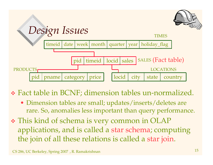

Fact table in BCNF; dimension tables un-normalized.

- Dimension tables are small; updates/inserts/deletes are rare. So, anomalies less important than query performance.
- This kind of schema is very common in OLAP applications, and is called <sup>a</sup> star schema; computing the join of all these relations is called <sup>a</sup> star join.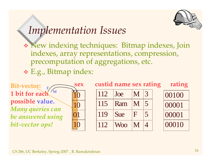

### *Implementation Issues*

 New indexing techniques: Bitmap indexes, Join indexes, array representations, compression, precomputation of aggregations, etc.

E.g., Bitmap index:

10100110Bit-vector: **1 bit for eachpossible value.** *Many queries can be answered using bit-vector ops!* **MF**



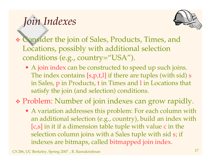# *Join Indexes*



- Consider the join of Sales, Products, Times, and Locations, possibly with additional selection conditions (e.g., country="USA").
	- A join index can be constructed to speed up such joins. The index contains [s,p,t,l] if there are tuples (with sid) <sup>s</sup> in Sales, p in Products, <sup>t</sup> in Times and l in Locations that satisfy the join (and selection) conditions.

Problem: Number of join indexes can grow rapidly.

• A variation addresses this problem: For each column with an additional selection (e.g., country), build an index with [c,s] in it if <sup>a</sup> dimension table tuple with value <sup>c</sup> in the selection column joins with <sup>a</sup> Sales tuple with sid s; if indexes are bitmaps, called bitmapped join index.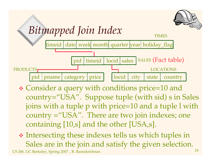

## *Bitmapped Join Index*



- Consider <sup>a</sup> query with conditions price=10 and country="USA". Suppose tuple (with sid) <sup>s</sup> in Sales joins with <sup>a</sup> tuple p with price=10 and <sup>a</sup> tuple l with country <sup>=</sup>"USA". There are two join indexes; one containing [10,s] and the other [USA,s].
- CS 286, UC Berkeley, Spring <sup>2007</sup> , R. Ramakrishnan <sup>18</sup> Intersecting these indexes tells us which tuples in Sales are in the join and satisfy the given selection.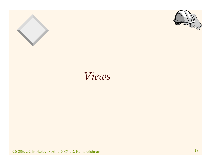



### *Views*

CS 286, UC Berkeley, Spring <sup>2007</sup> , R. Ramakrishnan <sup>19</sup>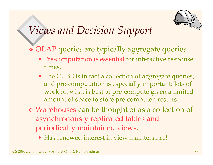

### *Views and Decision Support*

OLAP queries are typically aggregate queries.

- Pre-computation is essential for interactive response times.
- The CUBE is in fact <sup>a</sup> collection of aggregate queries, and pre-computation is especially important: lots of work on what is best to pre-compute given <sup>a</sup> limited amount of space to store pre-computed results.
- Warehouses can be thought of as <sup>a</sup> collection of asynchronously replicated tables and periodically maintained views.
	- Has renewed interest in view maintenance!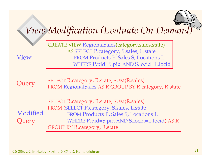### *View Modification (Evaluate On Demand)*

| <b>View</b>       | <b>CREATE VIEW RegionalSales (category, sales, state)</b><br>AS SELECT P.category, S.sales, L.state<br>FROM Products P, Sales S, Locations L<br>WHERE P.pid=S.pid AND S.locid=L.locid                                       |
|-------------------|-----------------------------------------------------------------------------------------------------------------------------------------------------------------------------------------------------------------------------|
| Query             | <b>SELECT R.category, R.state, SUM(R.sales)</b><br>FROM RegionalSales AS R GROUP BY R.category, R.state                                                                                                                     |
| Modified<br>Query | <b>SELECT R.category, R.state, SUM(R.sales)</b><br>FROM (SELECT P.category, S.sales, L.state<br>FROM Products P, Sales S, Locations L<br>WHERE P.pid=S.pid AND S.locid=L.locid) AS R<br><b>GROUP BY R.category, R.state</b> |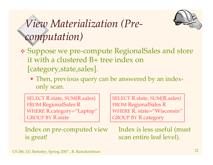# *View Materialization (Precomputation)*



- Suppose we pre-compute RegionalSales and store it with <sup>a</sup> clustered B+ tree index on [category,state,sales].
	- Then, previous query can be answered by an indexonly scan.

SELECT R.state, SUM(R.sales) FROM RegionalSales <sup>R</sup> WHERE R.category="Laptop" GROUP BY R.state

SELECT R.state, SUM(R.sales) FROM RegionalSales <sup>R</sup> WHERE R. state="Wisconsin" GROUP BY R.category

Index on pre-computed view is great!

Index is less useful (must scan entire leaf level).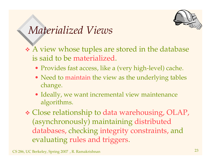

### *Materialized Views*

- <sup>A</sup> view whose tuples are stored in the database is said to be materialized.
	- Provides fast access, like <sup>a</sup> (very high-level) cache.
	- Need to maintain the view as the underlying tables change.
	- Ideally, we want incremental view maintenance algorithms.
- Close relationship to data warehousing, OLAP, (asynchronously) maintaining distributed databases, checking integrity constraints, and evaluating rules and triggers.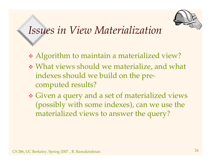

### *Issues in View Materialization*

- Algorithm to maintain <sup>a</sup> materialized view?
- What views should we materialize, and what indexes should we build on the precomputed results?
- Given <sup>a</sup> query and <sup>a</sup> set of materialized views (possibly with some indexes), can we use the materialized views to answer the query?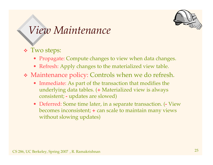

#### *View Maintenance*

#### Two steps:

- Propagate: Compute changes to view when data changes.
- Refresh: Apply changes to the materialized view table.
- Maintenance policy: Controls when we do refresh.
	- Immediate: As par<sup>t</sup> of the transaction that modifies the underlying data tables. (**<sup>+</sup>** Materialized view is always consistent; **-** updates are slowed)
	- Deferred: Some time later, in <sup>a</sup> separate transaction. (**-** View becomes inconsistent; **<sup>+</sup>** can scale to maintain many views without slowing updates)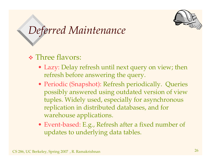

### *Deferred Maintenance*

Three flavors:

- Lazy: Delay refresh until next query on view; then refresh before answering the query.
- Periodic (Snapshot): Refresh periodically. Queries possibly answered using outdated version of view tuples. Widely used, especially for asynchronous replication in distributed databases, and for warehouse applications.
- Event-based: E.g., Refresh after <sup>a</sup> fixed number of updates to underlying data tables.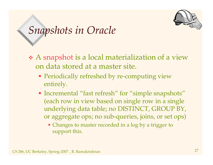

### *Snapshots in Oracle*

- <sup>A</sup> snapshot is <sup>a</sup> local materialization of <sup>a</sup> view on data stored at <sup>a</sup> master site.
	- Periodically refreshed by re-computing view entirely.
	- Incremental "fast refresh" for "simple snapshots" (each row in view based on single row in <sup>a</sup> single underlying data table; no DISTINCT, GROUP BY, or aggregate ops; no sub-queries, joins, or set ops)
		- Changes to master recorded in <sup>a</sup> log by <sup>a</sup> trigger to suppor<sup>t</sup> this.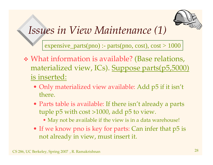

### *Issues in View Maintenance (1)*

expensive\_parts(pno) :- parts(pno, cost),  $cost > 1000$ 

- What information is available? (Base relations, materialized view, ICs). Suppose parts(p5,5000) is inserted:
	- Only materialized view available: Add p5 if it isn't there.
	- Parts table is available: If there isn't already <sup>a</sup> parts tuple p5 with cost >1000, add p5 to view.
		- May not be available if the view is in <sup>a</sup> data warehouse!
	- If we know pno is key for parts: Can infer that p5 is not already in view, must insert it.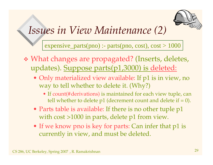

### *Issues in View Maintenance (2)*

expensive\_parts(pno) :- parts(pno, cost),  $cost > 1000$ 

- What changes are propagated? (Inserts, deletes, updates). Suppose parts(p1,3000) is deleted:
	- Only materialized view available: If p1 is in view, no way to tell whether to delete it. (Why?)
		- If count(#derivations) is maintained for each view tuple, can tell whether to delete p1 (decrement count and delete if =  $0$ ).
	- Parts table is available: If there is no other tuple p1 with cost >1000 in parts, delete p<sup>1</sup> from view.
	- If we know pno is key for parts: Can infer that p<sup>1</sup> is currently in view, and must be deleted.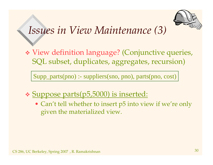

### *Issues in View Maintenance (3)*

 View definition language? (Conjunctive queries, SQL subset, duplicates, aggregates, recursion)

Supp\_parts(pno) :- suppliers(sno, pno), parts(pno, cost)

- Suppose parts(p5,5000) is inserted:
	- Can't tell whether to insert p5 into view if we're only given the materialized view.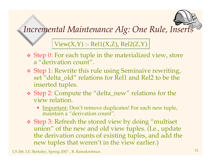#### *Incremental Maintenance Alg: One Rule, Inserts*

 $View(X, Y) : \text{Rel1}(X, Z), \text{Rel2}(Z, Y)$ 

- Step 0: For each tuple in the materialized view, store a "derivation count".
- Step 1: Rewrite this rule using Seminaive rewriting, set "delta \_ old" relations for Rel1 and Rel2 to be the inserted tuples.
- Step 2: Compute the "delta\_new" relations for the view relation.
	- Important: Don't remove duplicates! For each new tuple, maintain <sup>a</sup> "derivation count".
- Step 3: Refresh the stored view by doing "multiset union" of the new and old view tuples. (I.e., update the derivation counts of existing tuples, and add the new tuples that weren't in the view earlier.)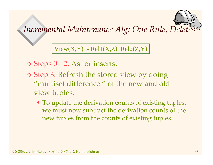#### *Incremental Maintenance Alg: One Rule, Deletes*

 $View(X,Y)$  :-  $Rel1(X,Z)$ ,  $Rel2(Z,Y)$ 

- Steps 0 2: As for inserts.
- Step 3: Refresh the stored view by doing "multiset difference " of the new and old view tuples.
	- To update the derivation counts of existing tuples, we must now subtract the derivation counts of the new tuples from the counts of existing tuples.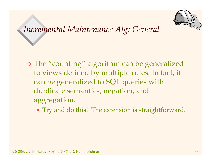

#### *Incremental Maintenance Alg: General*

- The "counting" algorithm can be generalized to views defined by multiple rules. In fact, it can be generalized to SQL queries with duplicate semantics, negation, and aggregation.
	- Try and do this! The extension is straightforward.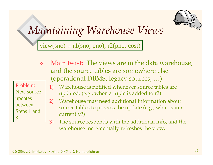

### *Maintaining Warehouse Views*

view(sno) :-  $r1$ (sno, pno),  $r2$ (pno, cost)

- Problem:New source updates betweenSteps 1 and 3!
- $\frac{\partial^2}{\partial x^2}$  Main twist: The views are in the data warehouse, and the source tables are somewhere else (operational DBMS, legacy sources, …).
	- 1) Warehouse is notified whenever source tables are updated. (e.g., when <sup>a</sup> tuple is added to r2)
	- 2) Warehouse may need additional information about source tables to process the update (e.g., what is in r1 currently?)
	- 3) The source responds with the additional info, and the warehouse incrementally refreshes the view.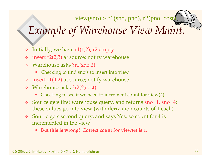view(sno) :- r1(sno, pno), r2(pno, cost)

# *Example of Warehouse View Maint.*

- $\cdot$  Initially, we have r1(1,2), r2 empty
- insert r2(2,3) at source; notify warehouse
- Warehouse asks ?r1(sno,2)
	- Checking to find sno's to insert into view
- $\cdot$  insert r1(4,2) at source; notify warehouse
- Warehouse asks ?r2(2,cost)
	- Checking to see if we need to increment count for view(4)
- Source gets first warehouse query, and returns sno=1, sno=4; these values go into view (with derivation counts of <sup>1</sup> each)
- Source gets second query, and says Yes, so count for <sup>4</sup> is incremented in the view
	- •**But this is wrong! Correct count for view(4) is 1.**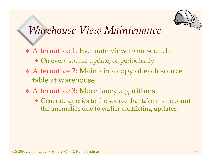

### *Warehouse View Maintenance*

- Alternative 1: Evaluate view from scratch
	- On every source update, or periodically
- Alternative 2: Maintain <sup>a</sup> copy of each source table at warehouse
- Alternative 3: More fancy algorithms
	- Generate queries to the source that take into account the anomalies due to earlier conflicting updates.